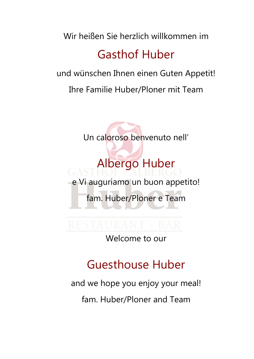Wir heißen Sie herzlich willkommen im

# Gasthof Huber

und wünschen Ihnen einen Guten Appetit!

Ihre Familie Huber/Ploner mit Team

Un caloroso benvenuto nell'

Albergo Huber e Vi auguriamo un buon appetito! fam. Huber/Ploner e Team

Welcome to our

# Guesthouse Huber

and we hope you enjoy your meal!

fam. Huber/Ploner and Team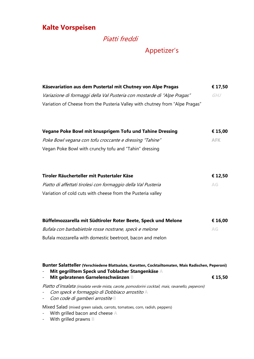## Kalte Vorspeisen

# Piatti freddi

## Appetizer's

| Käsevariation aus dem Pustertal mit Chutney von Alpe Pragas                  | € 17,50    |
|------------------------------------------------------------------------------|------------|
| Variazione di formaggi della Val Pusteria con mostarde di "Alpe Pragas"      | <b>GHJ</b> |
| Variation of Cheese from the Pusteria Valley with chutney from "Alpe Pragas" |            |
| Vegane Poke Bowl mit knusprigem Tofu und Tahine Dressing                     | € 15,00    |
| Poke Bowl vegana con tofu croccante e dressing "Tahine"                      | <b>AFK</b> |
| Vegan Poke Bowl with crunchy tofu and "Tahin" dressing                       |            |
| Tiroler Räucherteller mit Pustertaler Käse                                   | € 12,50    |
| Piatto di affettati tirolesi con formaggio della Val Pusteria                | AG         |
| Variation of cold cuts with cheese from the Pusteria valley                  |            |
| Büffelmozzarella mit Südtiroler Roter Beete, Speck und Melone                | € 16,00    |
| Bufala con barbabietole rosse nostrane, speck e melone                       | AG         |
| Bufala mozzarella with domestic beetroot, bacon and melon                    |            |

## Bunter Salatteller (Verschiedene Blattsalate, Karotten, Cocktailtomaten, Mais Radischen, Peperoni)

- Mit gegrilltem Speck und Toblacher Stangenkäse A

Mit gebratenen Garnelenschwänzen B **€ 15,50** 

Piatto d'insalata (insalata verde mista, carote, pomodorini cocktail, mais, ravanello, peperoni)

- Con speck e formaggio di Dobbiaco arrostito A
- Con code di gamberi arrostite B

Mixed Salad (mixed green salads, carrots, tomatoes, corn, radish, peppers)

- With grilled bacon and cheese A
- With grilled prawns B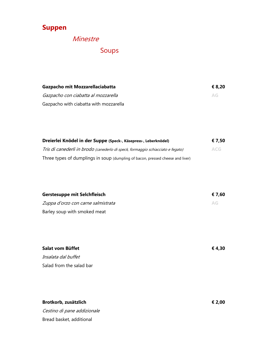# Suppen

# Minestre

# Soups

| Gazpacho mit Mozzarellaciabatta        | € 8.20 |
|----------------------------------------|--------|
| Gazpacho con ciabatta al mozzarella    | $A$ G  |
| Gazpacho with ciabatta with mozzarella |        |

| Dreierlei Knödel in der Suppe (Speck-, Käsepress-, Leberknödel)                 |            |
|---------------------------------------------------------------------------------|------------|
| Tris di canederli in brodo (canederlo di speck, formaggio schiacciato e fegato) | <b>ACG</b> |
| Three types of dumplings in soup (dumpling of bacon, pressed cheese and liver)  |            |

| <b>Gerstesuppe mit Selchfleisch</b> | € 7.60 |
|-------------------------------------|--------|
| Zuppa d'orzo con carne salmistrata  | AG     |
| Barley soup with smoked meat        |        |

| Salat vom Büffet         | € 4,30 |
|--------------------------|--------|
| Insalata dal buffet      |        |
| Salad from the salad bar |        |

Brotkorb, zusätzlich  $\epsilon$  2,00 Cestino di pane addizionale Bread basket, additional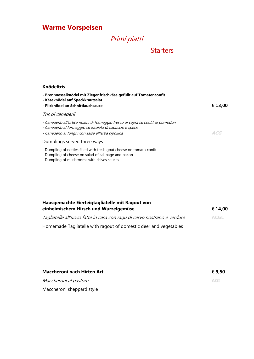# Warme Vorspeisen

# Primi piatti

## **Starters**

| <b>Knödeltris</b>                                                                                                                                                                                   |         |
|-----------------------------------------------------------------------------------------------------------------------------------------------------------------------------------------------------|---------|
| - Brennnesselknödel mit Ziegenfrischkäse gefüllt auf Tomatenconfit<br>- Käseknödel auf Speckkrautsalat<br>- Pilzknödel an Schnittlauchsauce                                                         | € 13,00 |
| Tris di canederli                                                                                                                                                                                   |         |
| - Canederlo all'ortica ripieni di formaggio fresco di capra su confit di pomodori<br>- Canederlo al formaggio su insalata di capuccio e speck<br>- Canederlo ai funghi con salsa all'erba cipollina | ACG     |
| Dumplings served three ways                                                                                                                                                                         |         |
| - Dumpling of nettles filled with fresh goat cheese on tomato confit                                                                                                                                |         |

- Dumpling of cheese on salad of cabbage and bacon
- Dumpling of mushrooms with chives sauces

| Hausgemachte Eierteigtagliatelle mit Ragout von<br>einheimischem Hirsch und Wurzelgemüse | € 14.00 |
|------------------------------------------------------------------------------------------|---------|
| Tagliatelle all'uovo fatte in casa con ragù di cervo nostrano e verdure                  | ACGL.   |
| Homemade Tagliatelle with ragout of domestic deer and vegetables                         |         |

| <b>Maccheroni nach Hirten Art</b> | € 9.50 |
|-----------------------------------|--------|
| Maccheroni al pastore             | AGI    |
| Maccheroni sheppard style         |        |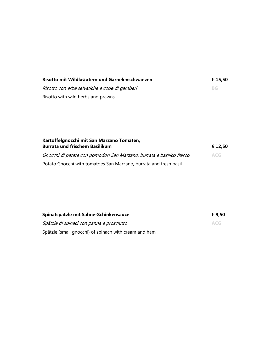| Risotto mit Wildkräutern und Garnelenschwänzen | € 15.50 |
|------------------------------------------------|---------|
| Risotto con erbe selvatiche e code di gamberi  | -BG.    |
| Risotto with wild herbs and prawns             |         |

| Kartoffelgnocchi mit San Marzano Tomaten,                             |            |
|-----------------------------------------------------------------------|------------|
| <b>Burrata und frischem Basilikum</b>                                 | € 12.50    |
| Gnocchi di patate con pomodori San Marzano, burrata e basilico fresco | <b>ACG</b> |
| Potato Gnocchi with tomatoes San Marzano, burrata and fresh basil     |            |

| Spinatspätzle mit Sahne-Schinkensauce                 | € 9,50     |
|-------------------------------------------------------|------------|
| Spätzle di spinaci con panna e prosciutto             | <b>ACG</b> |
| Spätzle (small gnocchi) of spinach with cream and ham |            |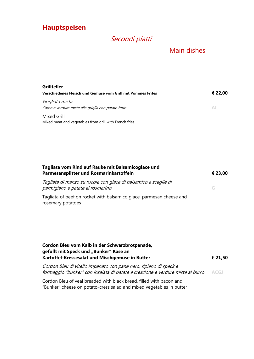# Hauptspeisen

# Secondi piatti

## Main dishes

| Grillteller                                                             |         |
|-------------------------------------------------------------------------|---------|
| Verschiedenes Fleisch und Gemüse vom Grill mit Pommes Frites            | € 22,00 |
| Grigliata mista<br>Carne e verdure miste alla griglia con patate fritte | AI      |
| Mixed Grill<br>Mixed meat and vegetables from grill with French fries   |         |

| Tagliata vom Rind auf Rauke mit Balsamicoglace und<br>Parmesansplitter und Rosmarinkartoffeln       | € 23,00 |
|-----------------------------------------------------------------------------------------------------|---------|
| Tagliata di manzo su rucola con glace di balsamico e scaglie di<br>parmigiano e patate al rosmarino | G       |
| Tagliata of beef on rocket with balsamico glace, parmesan cheese and<br>rosemary potatoes           |         |
| Cordon Bleu vom Kalb in der Schwarzbrotpanade.                                                      |         |

| CONGON DICA VOIN KAID IN ACT JCHWAILDI OLDANIAC,<br>gefüllt mit Speck und "Bunker" Käse an<br>Kartoffel-Kressesalat und Mischgemüse in Butter       | € 21,50 |
|-----------------------------------------------------------------------------------------------------------------------------------------------------|---------|
| Cordon Bleu di vitello impanato con pane nero, ripieno di speck e<br>formaggio "bunker" con insalata di patate e crescione e verdure miste al burro | ACGJ    |

Cordon Bleu of veal breaded with black bread, filled with bacon and "Bunker" cheese on potato-cress salad and mixed vegetables in butter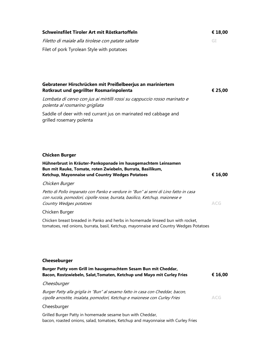| Schweinsfilet Tiroler Art mit Röstkartoffeln                                                                                                                                                 | € 18,00    |
|----------------------------------------------------------------------------------------------------------------------------------------------------------------------------------------------|------------|
| Filetto di maiale alla tirolese con patate saltate                                                                                                                                           | GI         |
| Filet of pork Tyrolean Style with potatoes                                                                                                                                                   |            |
|                                                                                                                                                                                              |            |
|                                                                                                                                                                                              |            |
|                                                                                                                                                                                              |            |
| Gebratener Hirschrücken mit Preißelbeerjus an mariniertem<br>Rotkraut und gegrillter Rosmarinpolenta                                                                                         | € 25,00    |
| Lombata di cervo con jus ai mirtilli rossi su cappuccio rosso marinato e<br>polenta al rosmarino grigliata                                                                                   |            |
| Saddle of deer with red currant jus on marinated red cabbage and<br>grilled rosemary polenta                                                                                                 |            |
|                                                                                                                                                                                              |            |
|                                                                                                                                                                                              |            |
|                                                                                                                                                                                              |            |
| <b>Chicken Burger</b>                                                                                                                                                                        |            |
| Hühnerbrust in Kräuter-Pankopanade im hausgemachtem Leinsamen<br>Bun mit Rauke, Tomate, roten Zwiebeln, Burrata, Basilikum,                                                                  |            |
| Ketchup, Mayonnaise und Country Wedges Potatoes                                                                                                                                              | € 16,00    |
| Chicken Burger                                                                                                                                                                               |            |
| Petto di Pollo impanato con Panko e verdure in "Bun" ai semi di Lino fatto in casa<br>con rucola, pomodori, cipolle rosse, burrata, basilico, Ketchup, maionese e<br>Country Wedges potatoes | <b>ACG</b> |
| Chicken Burger                                                                                                                                                                               |            |
| Chicken breast breaded in Panko and herbs in homemade linseed bun with rocket,<br>tomatoes, red onions, burrata, basil, Ketchup, mayonnaise and Country Wedges Potatoes                      |            |
|                                                                                                                                                                                              |            |
|                                                                                                                                                                                              |            |
|                                                                                                                                                                                              |            |
| Cheeseburger                                                                                                                                                                                 |            |
| Burger Patty vom Grill im hausgemachtem Sesam Bun mit Cheddar,<br>Bacon, Rostzwiebeln, Salat, Tomaten, Ketchup und Mayo mit Curley Fries                                                     | € 16,00    |
| Cheesburger                                                                                                                                                                                  |            |
| Burger Patty alla griglia in "Bun" al sesamo fatto in casa con Cheddar, bacon,<br>cipolle arrostite, insalata, pomodori, Ketchup e maionese con Curley Fries                                 | <b>ACG</b> |
| Cheesburger                                                                                                                                                                                  |            |
| Grilled Burger Patty in homemade sesame bun with Cheddar,<br>bacon, roasted onions, salad, tomatoes, Ketchup and mayonnaise with Curley Fries                                                |            |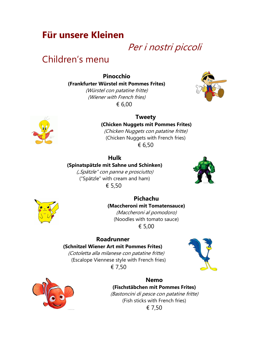# Für unsere Kleinen

# Per i nostri piccoli

# Children's menu

Pinocchio (Frankfurter Würstel mit Pommes Frites) (Würstel con patatine fritte)

(Wiener with French fries) € 6,00





## Tweety (Chicken Nuggets mit Pommes Frites)

(Chicken Nuggets con patatine fritte) (Chicken Nuggets with French fries) € 6,50

## Hulk

(Spinatspätzle mit Sahne und Schinken)

("Spätzle" con panna e prosciutto) ("Spätzle" with cream and ham) € 5,50





## Pichachu (Maccheroni mit Tomatensauce) (Maccheroni al pomodoro) (Noodles with tomato sauce)

€ 5,00

## Roadrunner

## (Schnitzel Wiener Art mit Pommes Frites)

(Cotoletta alla milanese con patatine fritte) (Escalope Viennese style with French fries) € 7,50





## Nemo (Fischstäbchen mit Pommes Frites)

(Bastoncini di pesce con patatine fritte) (Fish sticks with French fries) € 7,50